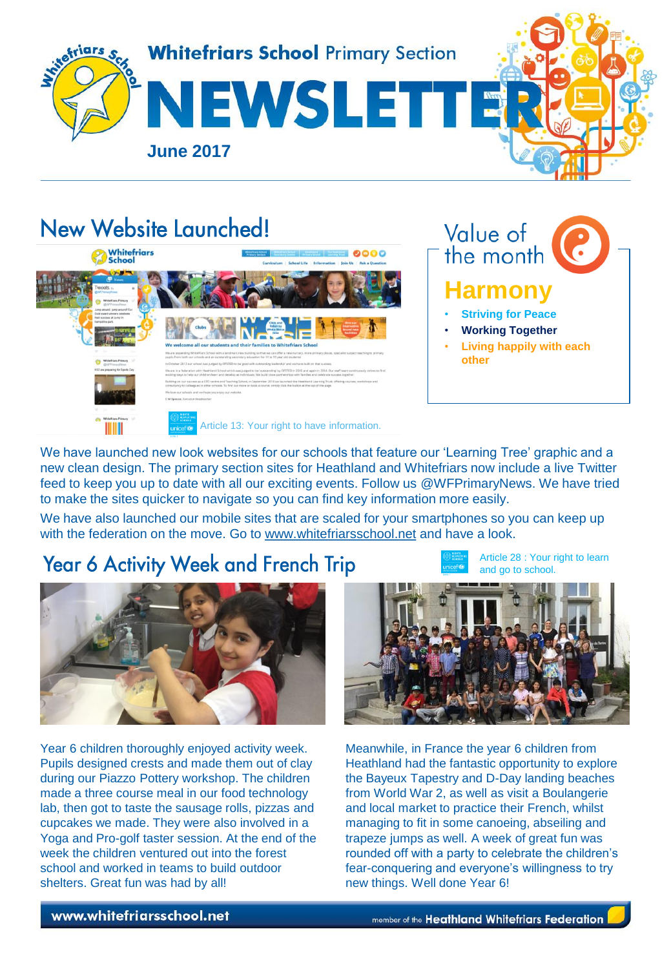

# New Website Launched!





We have launched new look websites for our schools that feature our 'Learning Tree' graphic and a new clean design. The primary section sites for Heathland and Whitefriars now include a live Twitter feed to keep you up to date with all our exciting events. Follow us @WFPrimaryNews. We have tried to make the sites quicker to navigate so you can find key information more easily.

We have also launched our mobile sites that are scaled for your smartphones so you can keep up with the federation on the move. Go to [ww](http://www.whitefriarsschool.net/)w.whitefriarsschool.net and have a look.

# Year 6 Activity Week and French Trip

Article 28 : Your right to learn and go to school.



Year 6 children thoroughly enjoyed activity week. Pupils designed crests and made them out of clay during our Piazzo Pottery workshop. The children made a three course meal in our food technology lab, then got to taste the sausage rolls, pizzas and cupcakes we made. They were also involved in a Yoga and Pro-golf taster session. At the end of the week the children ventured out into the forest school and worked in teams to build outdoor shelters. Great fun was had by all!



Meanwhile, in France the year 6 children from Heathland had the fantastic opportunity to explore the Bayeux Tapestry and D-Day landing beaches from World War 2, as well as visit a Boulangerie and local market to practice their French, whilst managing to fit in some canoeing, abseiling and trapeze jumps as well. A week of great fun was rounded off with a party to celebrate the children's fear-conquering and everyone's willingness to try new things. Well done Year 6!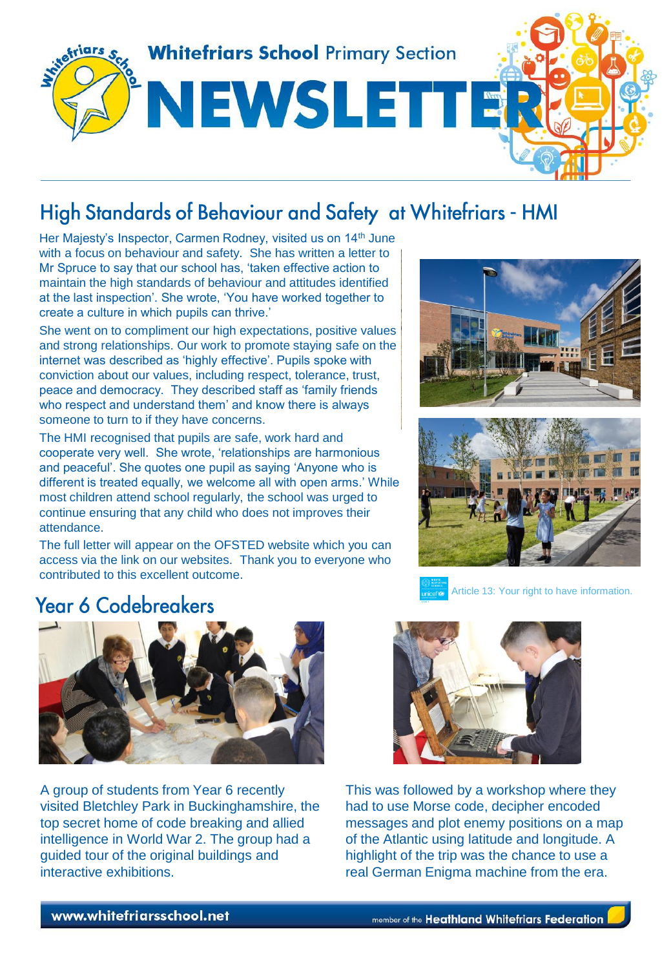

# High Standards of Behaviour and Safety at Whitefriars - HMI

Her Majesty's Inspector, Carmen Rodney, visited us on 14<sup>th</sup> June with a focus on behaviour and safety. She has written a letter to Mr Spruce to say that our school has, 'taken effective action to maintain the high standards of behaviour and attitudes identified at the last inspection'. She wrote, 'You have worked together to create a culture in which pupils can thrive.'

She went on to compliment our high expectations, positive values and strong relationships. Our work to promote staying safe on the internet was described as 'highly effective'. Pupils spoke with conviction about our values, including respect, tolerance, trust, peace and democracy. They described staff as 'family friends who respect and understand them' and know there is always someone to turn to if they have concerns.

The HMI recognised that pupils are safe, work hard and cooperate very well. She wrote, 'relationships are harmonious and peaceful'. She quotes one pupil as saying 'Anyone who is different is treated equally, we welcome all with open arms.' While most children attend school regularly, the school was urged to continue ensuring that any child who does not improves their attendance.

The full letter will appear on the OFSTED website which you can access via the link on our websites. Thank you to everyone who contributed to this excellent outcome.





Article 13: Your right to have information.

### **Year 6 Codebreakers**



A group of students from Year 6 recently visited Bletchley Park in Buckinghamshire, the top secret home of code breaking and allied intelligence in World War 2. The group had a guided tour of the original buildings and interactive exhibitions.



This was followed by a workshop where they had to use Morse code, decipher encoded messages and plot enemy positions on a map of the Atlantic using latitude and longitude. A highlight of the trip was the chance to use a real German Enigma machine from the era.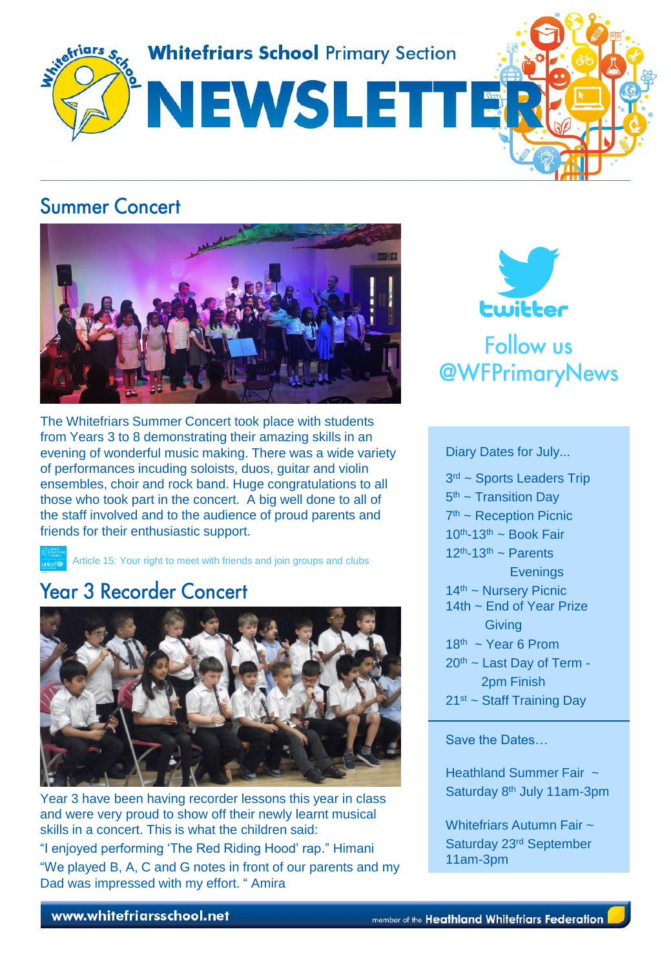

### **Summer Concert**



The Whitefriars Summer Concert took place with students from Years 3 to 8 demonstrating their amazing skills in an evening of wonderful music making. There was a wide variety of performances incuding soloists, duos, guitar and violin ensembles, choir and rock band. Huge congratulations to all those who took part in the concert. A big well done to all of the staff involved and to the audience of proud parents and friends for their enthusiastic support.

Article 15: Your right to meet with friends and join groups and clubs

## **Year 3 Recorder Concert**



Year 3 have been having recorder lessons this year in class and were very proud to show off their newly learnt musical skills in a concert. This is what the children said: "I enjoyed performing 'The Red Riding Hood' rap." Himani "We played B, A, C and G notes in front of our parents and my Dad was impressed with my effort. " Amira



Diary Dates for July...

3<sup>rd</sup> ~ Sports Leaders Trip 5<sup>th</sup> ~ Transition Day 7<sup>th</sup> ~ Reception Picnic  $10^{th}$ -13<sup>th</sup> ~ Book Fair  $12<sup>th</sup> - 13<sup>th</sup>$  ~ Parents **Evenings**  $14<sup>th</sup>$  ~ Nursery Picnic 14th ~ End of Year Prize **Giving**  $18<sup>th</sup>$  ~ Year 6 Prom  $20<sup>th</sup>$  ~ Last Day of Term - 2pm Finish  $21<sup>st</sup>$  ~ Staff Training Day

Save the Dates…

Heathland Summer Fair ~ Saturday 8<sup>th</sup> July 11am-3pm

Whitefriars Autumn Fair ~ Saturday 23rd September 11am-3pm